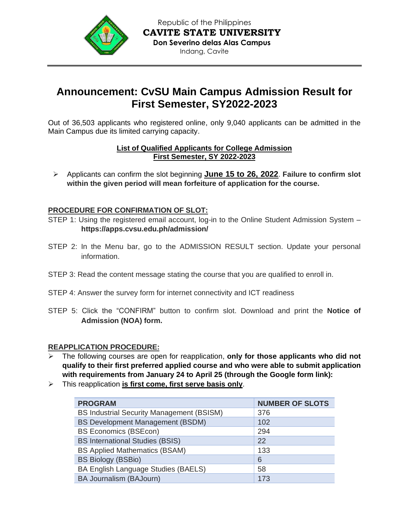

## **Announcement: CvSU Main Campus Admission Result for First Semester, SY2022-2023**

Out of 36,503 applicants who registered online, only 9,040 applicants can be admitted in the Main Campus due its limited carrying capacity.

#### **List of Qualified Applicants for College Admission First Semester, SY 2022-2023**

➢ Applicants can confirm the slot beginning **June 15 to 26, 2022**. **Failure to confirm slot within the given period will mean forfeiture of application for the course.**

### **PROCEDURE FOR CONFIRMATION OF SLOT:**

- STEP 1: Using the registered email account, log-in to the Online Student Admission System **https://apps.cvsu.edu.ph/admission/**
- STEP 2: In the Menu bar, go to the ADMISSION RESULT section. Update your personal information.
- STEP 3: Read the content message stating the course that you are qualified to enroll in.
- STEP 4: Answer the survey form for internet connectivity and ICT readiness
- STEP 5: Click the "CONFIRM" button to confirm slot. Download and print the **Notice of Admission (NOA) form.**

#### **REAPPLICATION PROCEDURE:**

- ➢ The following courses are open for reapplication, **only for those applicants who did not qualify to their first preferred applied course and who were able to submit application with requirements from January 24 to April 25 (through the Google form link):**
- ➢ This reapplication **is first come, first serve basis only**.

| <b>PROGRAM</b>                                   | <b>NUMBER OF SLOTS</b> |
|--------------------------------------------------|------------------------|
| <b>BS Industrial Security Management (BSISM)</b> | 376                    |
| <b>BS Development Management (BSDM)</b>          | 102                    |
| <b>BS Economics (BSEcon)</b>                     | 294                    |
| <b>BS International Studies (BSIS)</b>           | 22                     |
| <b>BS Applied Mathematics (BSAM)</b>             | 133                    |
| <b>BS Biology (BSBio)</b>                        | 6                      |
| BA English Language Studies (BAELS)              | 58                     |
| BA Journalism (BAJourn)                          | 173                    |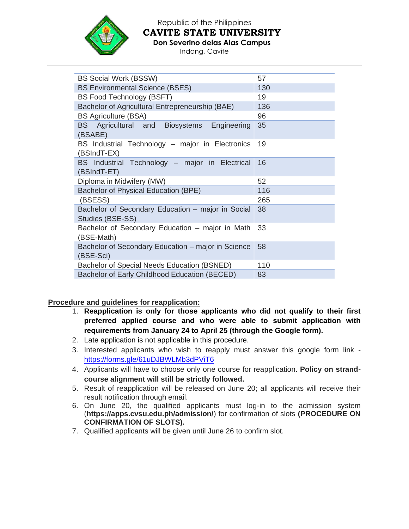

Republic of the Philippines **CAVITE STATE UNIVERSITY**

**Don Severino delas Alas Campus**

Indang, Cavite

| <b>BS Social Work (BSSW)</b>                                          | 57  |
|-----------------------------------------------------------------------|-----|
| <b>BS Environmental Science (BSES)</b>                                | 130 |
| <b>BS Food Technology (BSFT)</b>                                      | 19  |
| Bachelor of Agricultural Entrepreneurship (BAE)                       | 136 |
| <b>BS Agriculture (BSA)</b>                                           | 96  |
| BS Agricultural and Biosystems Engineering<br>(BSABE)                 | 35  |
| BS Industrial Technology – major in Electronics<br>(BSIndT-EX)        | 19  |
| BS Industrial Technology - major in Electrical<br>(BSIndT-ET)         | 16  |
| Diploma in Midwifery (MW)                                             | 52  |
| Bachelor of Physical Education (BPE)                                  | 116 |
| (BSESS)                                                               | 265 |
| Bachelor of Secondary Education – major in Social<br>Studies (BSE-SS) | 38  |
| Bachelor of Secondary Education – major in Math<br>(BSE-Math)         | 33  |
| Bachelor of Secondary Education – major in Science<br>(BSE-Sci)       | 58  |
| Bachelor of Special Needs Education (BSNED)                           | 110 |
| Bachelor of Early Childhood Education (BECED)                         | 83  |
|                                                                       |     |

**Procedure and guidelines for reapplication:**

- 1. **Reapplication is only for those applicants who did not qualify to their first preferred applied course and who were able to submit application with requirements from January 24 to April 25 (through the Google form).**
- 2. Late application is not applicable in this procedure.
- 3. Interested applicants who wish to reapply must answer this google form link <https://forms.gle/61uDJBWLMb3dPViT6>
- 4. Applicants will have to choose only one course for reapplication. **Policy on strandcourse alignment will still be strictly followed.**
- 5. Result of reapplication will be released on June 20; all applicants will receive their result notification through email.
- 6. On June 20, the qualified applicants must log-in to the admission system (**https://apps.cvsu.edu.ph/admission/**) for confirmation of slots **(PROCEDURE ON CONFIRMATION OF SLOTS).**
- 7. Qualified applicants will be given until June 26 to confirm slot.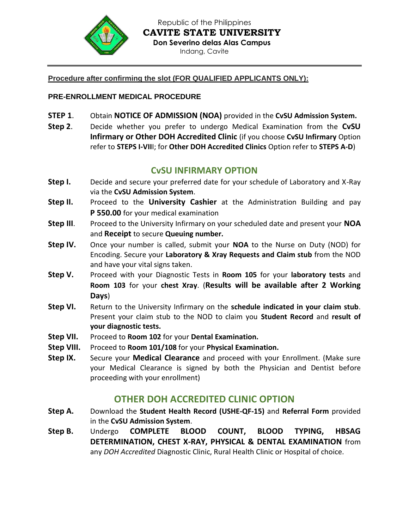

Republic of the Philippines **CAVITE STATE UNIVERSITY Don Severino delas Alas Campus** Indang, Cavite

#### **Procedure after confirming the slot (FOR QUALIFIED APPLICANTS ONLY):**

### **PRE-ENROLLMENT MEDICAL PROCEDURE**

- **STEP 1**. Obtain **NOTICE OF ADMISSION (NOA)** provided in the **CvSU Admission System.**
- **Step 2**. Decide whether you prefer to undergo Medical Examination from the **CvSU Infirmary or Other DOH Accredited Clinic** (if you choose **CvSU Infirmary** Option refer to **STEPS I-VII**I; for **Other DOH Accredited Clinics** Option refer to **STEPS A-D**)

## **CvSU INFIRMARY OPTION**

- **Step I.** Decide and secure your preferred date for your schedule of Laboratory and X-Ray via the **CvSU Admission System**.
- **Step II.** Proceed to the **University Cashier** at the Administration Building and pay **P 550.00** for your medical examination
- **Step III**. Proceed to the University Infirmary on your scheduled date and present your **NOA**  and **Receipt** to secure **Queuing number.**
- **Step IV.** Once your number is called, submit your **NOA** to the Nurse on Duty (NOD) for Encoding. Secure your **Laboratory & Xray Requests and Claim stub** from the NOD and have your vital signs taken.
- **Step V.** Proceed with your Diagnostic Tests in **Room 105** for your **laboratory tests** and **Room 103** for your **chest Xray**. (**Results will be available after 2 Working Days**)
- **Step VI.** Return to the University Infirmary on the **schedule indicated in your claim stub**. Present your claim stub to the NOD to claim you **Student Record** and **result of your diagnostic tests.**
- **Step VII.** Proceed to **Room 102** for your **Dental Examination.**
- **Step VIII.** Proceed to **Room 101/108** for your **Physical Examination.**
- **Step IX.** Secure your **Medical Clearance** and proceed with your Enrollment. (Make sure your Medical Clearance is signed by both the Physician and Dentist before proceeding with your enrollment)

## **OTHER DOH ACCREDITED CLINIC OPTION**

- **Step A.** Download the **Student Health Record (USHE-QF-15)** and **Referral Form** provided in the **CvSU Admission System**.
- **Step B.** Undergo **COMPLETE BLOOD COUNT, BLOOD TYPING, HBSAG DETERMINATION, CHEST X-RAY, PHYSICAL & DENTAL EXAMINATION** from any *DOH Accredited* Diagnostic Clinic, Rural Health Clinic or Hospital of choice.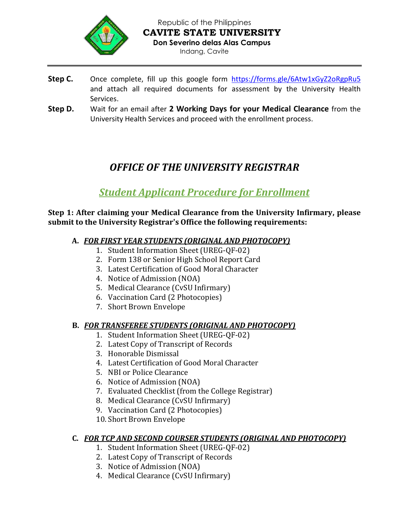

Republic of the Philippines **CAVITE STATE UNIVERSITY Don Severino delas Alas Campus** Indang, Cavite

- Step C. Once complete, fill up this google form <https://forms.gle/6Atw1xGyZ2oRgpRu5> and attach all required documents for assessment by the University Health Services.
- **Step D.** Wait for an email after **2 Working Days for your Medical Clearance** from the University Health Services and proceed with the enrollment process.

# *OFFICE OF THE UNIVERSITY REGISTRAR*

# *Student Applicant Procedure for Enrollment*

### **Step 1: After claiming your Medical Clearance from the University Infirmary, please submit to the University Registrar's Office the following requirements:**

- **A.** *FOR FIRST YEAR STUDENTS (ORIGINAL AND PHOTOCOPY)*
	- 1. Student Information Sheet (UREG-QF-02)
	- 2. Form 138 or Senior High School Report Card
	- 3. Latest Certification of Good Moral Character
	- 4. Notice of Admission (NOA)
	- 5. Medical Clearance (CvSU Infirmary)
	- 6. Vaccination Card (2 Photocopies)
	- 7. Short Brown Envelope

## **B.** *FOR TRANSFEREE STUDENTS (ORIGINAL AND PHOTOCOPY)*

- 1. Student Information Sheet (UREG-QF-02)
- 2. Latest Copy of Transcript of Records
- 3. Honorable Dismissal
- 4. Latest Certification of Good Moral Character
- 5. NBI or Police Clearance
- 6. Notice of Admission (NOA)
- 7. Evaluated Checklist (from the College Registrar)
- 8. Medical Clearance (CvSU Infirmary)
- 9. Vaccination Card (2 Photocopies)
- 10. Short Brown Envelope

## **C.** *FOR TCP AND SECOND COURSER STUDENTS (ORIGINAL AND PHOTOCOPY)*

- 1. Student Information Sheet (UREG-QF-02)
- 2. Latest Copy of Transcript of Records
- 3. Notice of Admission (NOA)
- 4. Medical Clearance (CvSU Infirmary)